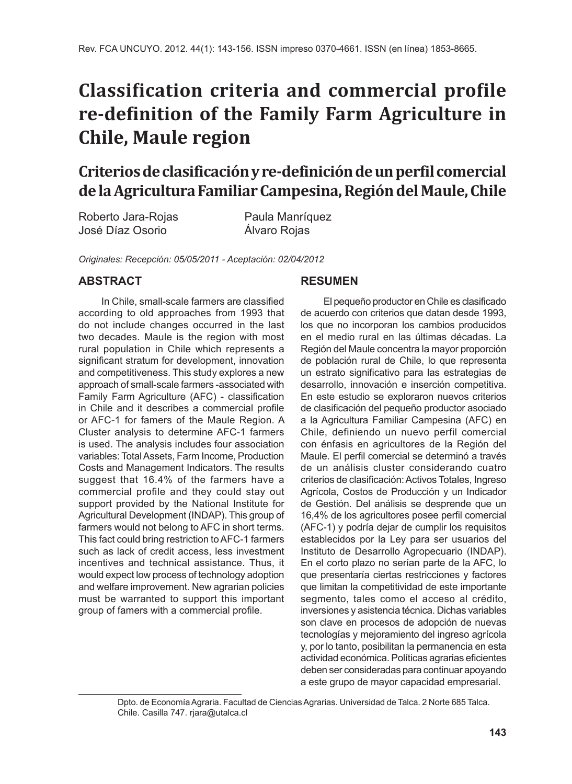# **Classification criteria and commercial profile re-definition of the Family Farm Agriculture in Chile, Maule region**

# **Criterios de clasificación y re-definición de un perfil comercial de la Agricultura Familiar Campesina, Región del Maule, Chile**

Roberto Jara-Rojas Paula Manríquez José Díaz Osorio Álvaro Rojas

*Originales: Recepción: 05/05/2011 - Aceptación: 02/04/2012*

#### **ABSTRACT**

In Chile, small-scale farmers are classified according to old approaches from 1993 that do not include changes occurred in the last two decades. Maule is the region with most rural population in Chile which represents a significant stratum for development, innovation and competitiveness. This study explores a new approach of small-scale farmers -associated with Family Farm Agriculture (AFC) - classification in Chile and it describes a commercial profile or AFC-1 for famers of the Maule Region. A Cluster analysis to determine AFC-1 farmers is used. The analysis includes four association variables: Total Assets, Farm Income, Production Costs and Management Indicators. The results suggest that 16.4% of the farmers have a commercial profile and they could stay out support provided by the National Institute for Agricultural Development (INDAP). This group of farmers would not belong to AFC in short terms. This fact could bring restriction to AFC-1 farmers such as lack of credit access, less investment incentives and technical assistance. Thus, it would expect low process of technology adoption and welfare improvement. New agrarian policies must be warranted to support this important group of famers with a commercial profile.

#### **RESUMEN**

El pequeño productor en Chile es clasificado de acuerdo con criterios que datan desde 1993, los que no incorporan los cambios producidos en el medio rural en las últimas décadas. La Región del Maule concentra la mayor proporción de población rural de Chile, lo que representa un estrato significativo para las estrategias de desarrollo, innovación e inserción competitiva. En este estudio se exploraron nuevos criterios de clasificación del pequeño productor asociado a la Agricultura Familiar Campesina (AFC) en Chile, definiendo un nuevo perfil comercial con énfasis en agricultores de la Región del Maule. El perfil comercial se determinó a través de un análisis cluster considerando cuatro criterios de clasificación: Activos Totales, Ingreso Agrícola, Costos de Producción y un Indicador de Gestión. Del análisis se desprende que un 16,4% de los agricultores posee perfil comercial (AFC-1) y podría dejar de cumplir los requisitos establecidos por la Ley para ser usuarios del Instituto de Desarrollo Agropecuario (INDAP). En el corto plazo no serían parte de la AFC, lo que presentaría ciertas restricciones y factores que limitan la competitividad de este importante segmento, tales como el acceso al crédito, inversiones y asistencia técnica. Dichas variables son clave en procesos de adopción de nuevas tecnologías y mejoramiento del ingreso agrícola y, por lo tanto, posibilitan la permanencia en esta actividad económica. Políticas agrarias eficientes deben ser consideradas para continuar apoyando a este grupo de mayor capacidad empresarial.

Dpto. de Economía Agraria. Facultad de Ciencias Agrarias. Universidad de Talca. 2 Norte 685 Talca. Chile. Casilla 747. rjara@utalca.cl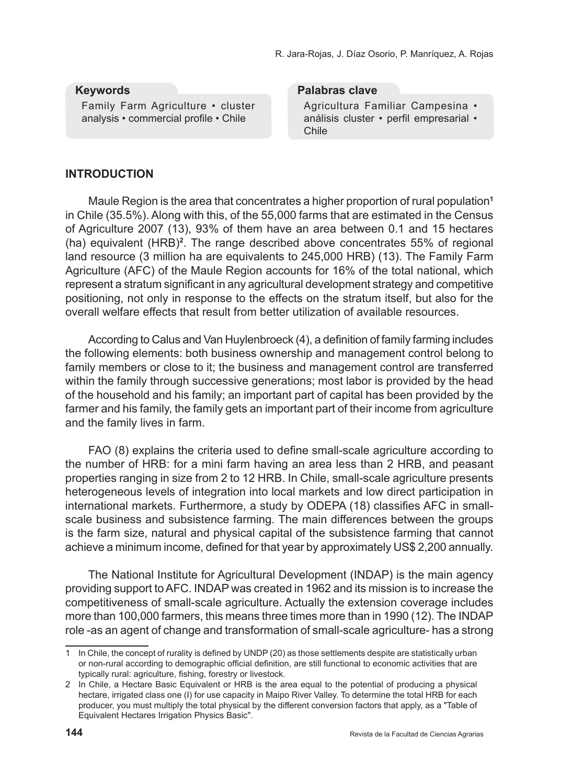#### **Keywords**

Family Farm Agriculture • cluster analysis • commercial profile • Chile

#### **Palabras clave**

Agricultura Familiar Campesina • análisis cluster • perfil empresarial • Chile

## **INTRODUCTION**

Maule Region is the area that concentrates a higher proportion of rural population**<sup>1</sup>** in Chile (35.5%). Along with this, of the 55,000 farms that are estimated in the Census of Agriculture 2007 (13), 93% of them have an area between 0.1 and 15 hectares (ha) equivalent (HRB)**<sup>2</sup>** . The range described above concentrates 55% of regional land resource (3 million ha are equivalents to 245,000 HRB) (13). The Family Farm Agriculture (AFC) of the Maule Region accounts for 16% of the total national, which represent a stratum significant in any agricultural development strategy and competitive positioning, not only in response to the effects on the stratum itself, but also for the overall welfare effects that result from better utilization of available resources.

According to Calus and Van Huylenbroeck (4), a definition of family farming includes the following elements: both business ownership and management control belong to family members or close to it; the business and management control are transferred within the family through successive generations; most labor is provided by the head of the household and his family; an important part of capital has been provided by the farmer and his family, the family gets an important part of their income from agriculture and the family lives in farm.

FAO (8) explains the criteria used to define small-scale agriculture according to the number of HRB: for a mini farm having an area less than 2 HRB, and peasant properties ranging in size from 2 to 12 HRB. In Chile, small-scale agriculture presents heterogeneous levels of integration into local markets and low direct participation in international markets. Furthermore, a study by ODEPA (18) classifies AFC in smallscale business and subsistence farming. The main differences between the groups is the farm size, natural and physical capital of the subsistence farming that cannot achieve a minimum income, defined for that year by approximately US\$ 2,200 annually.

The National Institute for Agricultural Development (INDAP) is the main agency providing support to AFC. INDAP was created in 1962 and its mission is to increase the competitiveness of small-scale agriculture. Actually the extension coverage includes more than 100,000 farmers, this means three times more than in 1990 (12). The INDAP role -as an agent of change and transformation of small-scale agriculture- has a strong

<sup>1</sup> In Chile, the concept of rurality is defined by UNDP (20) as those settlements despite are statistically urban or non-rural according to demographic official definition, are still functional to economic activities that are typically rural: agriculture, fishing, forestry or livestock.

<sup>2</sup> In Chile, a Hectare Basic Equivalent or HRB is the area equal to the potential of producing a physical hectare, irrigated class one (I) for use capacity in Maipo River Valley. To determine the total HRB for each producer, you must multiply the total physical by the different conversion factors that apply, as a "Table of Equivalent Hectares Irrigation Physics Basic".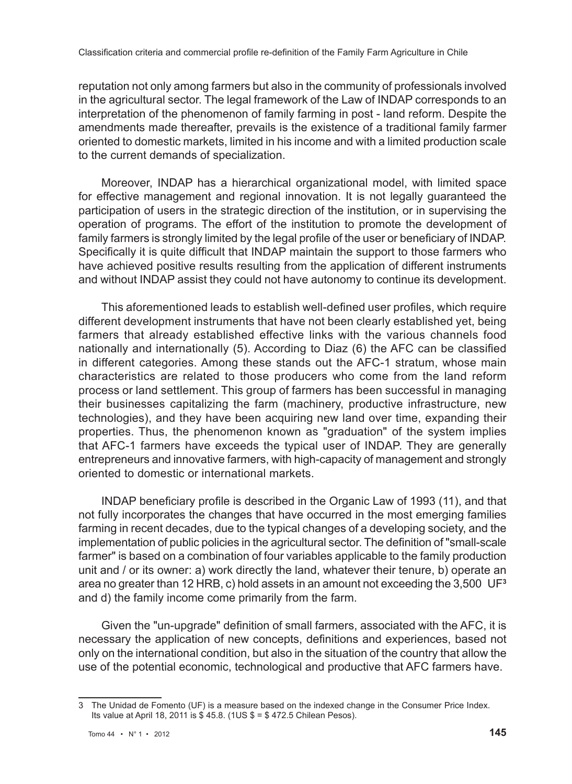reputation not only among farmers but also in the community of professionals involved in the agricultural sector. The legal framework of the Law of INDAP corresponds to an interpretation of the phenomenon of family farming in post - land reform. Despite the amendments made thereafter, prevails is the existence of a traditional family farmer oriented to domestic markets, limited in his income and with a limited production scale to the current demands of specialization.

Moreover, INDAP has a hierarchical organizational model, with limited space for effective management and regional innovation. It is not legally guaranteed the participation of users in the strategic direction of the institution, or in supervising the operation of programs. The effort of the institution to promote the development of family farmers is strongly limited by the legal profile of the user or beneficiary of INDAP. Specifically it is quite difficult that INDAP maintain the support to those farmers who have achieved positive results resulting from the application of different instruments and without INDAP assist they could not have autonomy to continue its development.

This aforementioned leads to establish well-defined user profiles, which require different development instruments that have not been clearly established yet, being farmers that already established effective links with the various channels food nationally and internationally (5). According to Diaz (6) the AFC can be classified in different categories. Among these stands out the AFC-1 stratum, whose main characteristics are related to those producers who come from the land reform process or land settlement. This group of farmers has been successful in managing their businesses capitalizing the farm (machinery, productive infrastructure, new technologies), and they have been acquiring new land over time, expanding their properties. Thus, the phenomenon known as "graduation" of the system implies that AFC-1 farmers have exceeds the typical user of INDAP. They are generally entrepreneurs and innovative farmers, with high-capacity of management and strongly oriented to domestic or international markets.

INDAP beneficiary profile is described in the Organic Law of 1993 (11), and that not fully incorporates the changes that have occurred in the most emerging families farming in recent decades, due to the typical changes of a developing society, and the implementation of public policies in the agricultural sector. The definition of "small-scale farmer" is based on a combination of four variables applicable to the family production unit and / or its owner: a) work directly the land, whatever their tenure, b) operate an area no greater than 12 HRB, c) hold assets in an amount not exceeding the 3,500 UF**<sup>3</sup>** and d) the family income come primarily from the farm.

Given the "un-upgrade" definition of small farmers, associated with the AFC, it is necessary the application of new concepts, definitions and experiences, based not only on the international condition, but also in the situation of the country that allow the use of the potential economic, technological and productive that AFC farmers have.

<sup>3</sup> The Unidad de Fomento (UF) is a measure based on the indexed change in the Consumer Price Index. Its value at April 18, 2011 is \$ 45.8. (1US \$ = \$ 472.5 Chilean Pesos).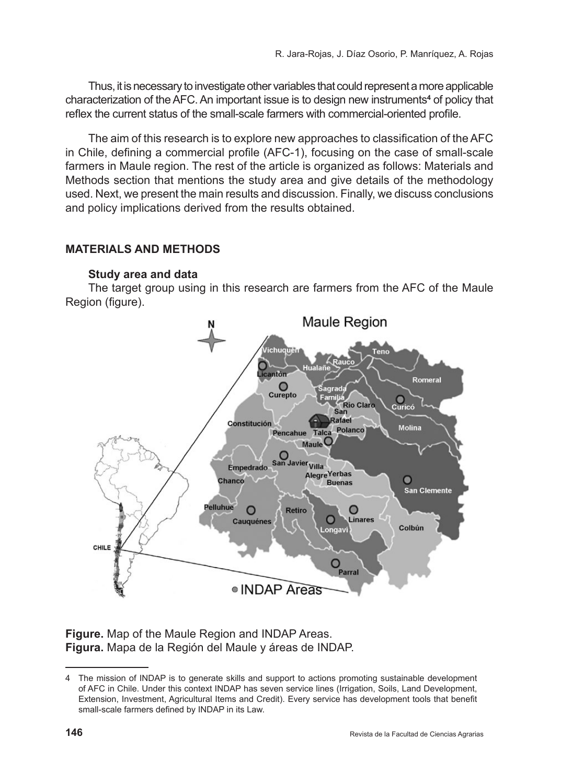Thus, it is necessary to investigate other variables that could represent a more applicable characterization of the AFC. An important issue is to design new instruments**<sup>4</sup>** of policy that reflex the current status of the small-scale farmers with commercial-oriented profile.

The aim of this research is to explore new approaches to classification of the AFC in Chile, defining a commercial profile (AFC-1), focusing on the case of small-scale farmers in Maule region. The rest of the article is organized as follows: Materials and Methods section that mentions the study area and give details of the methodology used. Next, we present the main results and discussion. Finally, we discuss conclusions and policy implications derived from the results obtained.

# **MATERIALS AND METHODS**

#### **Study area and data**

The target group using in this research are farmers from the AFC of the Maule Region (figure).



**Figure.** Map of the Maule Region and INDAP Areas. **Figura.** Mapa de la Región del Maule y áreas de INDAP.

<sup>4</sup> The mission of INDAP is to generate skills and support to actions promoting sustainable development of AFC in Chile. Under this context INDAP has seven service lines (Irrigation, Soils, Land Development, Extension, Investment, Agricultural Items and Credit). Every service has development tools that benefit small-scale farmers defined by INDAP in its Law.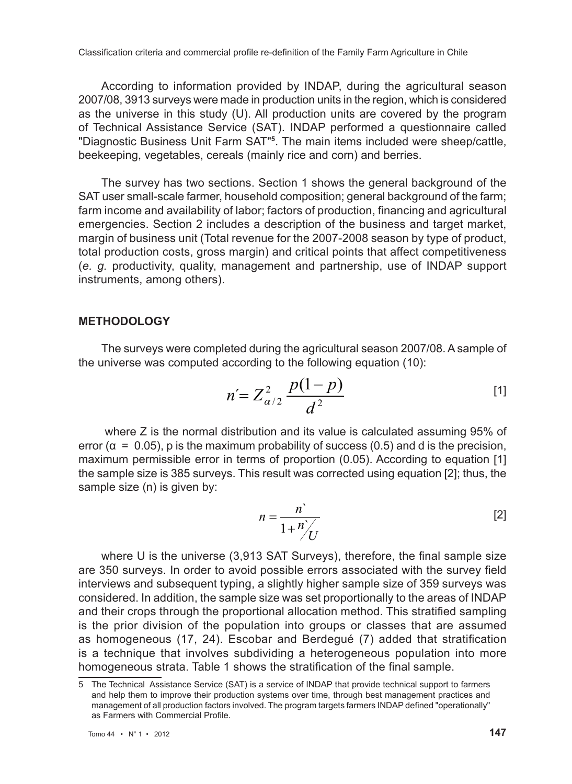According to information provided by INDAP, during the agricultural season 2007/08, 3913 surveys were made in production units in the region, which is considered as the universe in this study (U). All production units are covered by the program of Technical Assistance Service (SAT). INDAP performed a questionnaire called "Diagnostic Business Unit Farm SAT"**<sup>5</sup>** . The main items included were sheep/cattle, beekeeping, vegetables, cereals (mainly rice and corn) and berries.

The survey has two sections. Section 1 shows the general background of the SAT user small-scale farmer, household composition; general background of the farm; farm income and availability of labor; factors of production, financing and agricultural emergencies. Section 2 includes a description of the business and target market, margin of business unit (Total revenue for the 2007-2008 season by type of product, total production costs, gross margin) and critical points that affect competitiveness (*e. g.* productivity, quality, management and partnership, use of INDAP support instruments, among others).

#### **Methodology**

The surveys were completed during the agricultural season 2007/08. A sample of the universe was computed according to the following equation (10):

$$
n' = Z_{\alpha/2}^2 \frac{p(1-p)}{d^2} \tag{1}
$$

 where Z is the normal distribution and its value is calculated assuming 95% of error ( $\alpha = 0.05$ ), p is the maximum probability of success (0.5) and d is the precision, maximum permissible error in terms of proportion (0.05). According to equation [1] the sample size is 385 surveys. This result was corrected using equation [2]; thus, the sample size (n) is given by:

$$
n = \frac{n}{1 + \frac{n}{U}} \tag{2}
$$

where U is the universe (3,913 SAT Surveys), therefore, the final sample size are 350 surveys. In order to avoid possible errors associated with the survey field interviews and subsequent typing, a slightly higher sample size of 359 surveys was considered. In addition, the sample size was set proportionally to the areas of INDAP and their crops through the proportional allocation method. This stratified sampling is the prior division of the population into groups or classes that are assumed as homogeneous (17, 24). Escobar and Berdegué (7) added that stratification is a technique that involves subdividing a heterogeneous population into more homogeneous strata. Table 1 shows the stratification of the final sample.

<sup>5</sup> The Technical Assistance Service (SAT) is a service of INDAP that provide technical support to farmers and help them to improve their production systems over time, through best management practices and management of all production factors involved. The program targets farmers INDAP defined "operationally" as Farmers with Commercial Profile.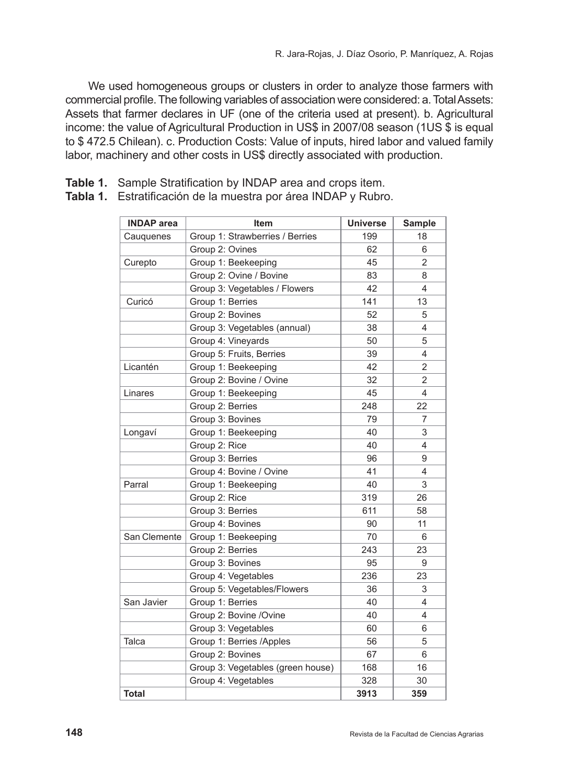We used homogeneous groups or clusters in order to analyze those farmers with commercial profile. The following variables of association were considered: a. Total Assets: Assets that farmer declares in UF (one of the criteria used at present). b. Agricultural income: the value of Agricultural Production in US\$ in 2007/08 season (1US \$ is equal to \$ 472.5 Chilean). c. Production Costs: Value of inputs, hired labor and valued family labor, machinery and other costs in US\$ directly associated with production.

|  |  | Table 1. Sample Stratification by INDAP area and crops item. |  |  |  |  |  |  |
|--|--|--------------------------------------------------------------|--|--|--|--|--|--|
|--|--|--------------------------------------------------------------|--|--|--|--|--|--|

| <b>INDAP</b> area | <b>Item</b>                       | <b>Universe</b> | <b>Sample</b> |
|-------------------|-----------------------------------|-----------------|---------------|
| Cauguenes         | Group 1: Strawberries / Berries   | 199             | 18            |
|                   | Group 2: Ovines                   | 62              | 6             |
| Curepto           | Group 1: Beekeeping               | 45              | 2             |
|                   | Group 2: Ovine / Bovine           | 83              | 8             |
|                   | Group 3: Vegetables / Flowers     | 42              | 4             |
| Curicó            | Group 1: Berries                  | 141             | 13            |
|                   | Group 2: Bovines                  | 52              | 5             |
|                   | Group 3: Vegetables (annual)      | 38              | 4             |
|                   | Group 4: Vineyards                | 50              | 5             |
|                   | Group 5: Fruits, Berries          | 39              | 4             |
| Licantén          | Group 1: Beekeeping               | 42              | 2             |
|                   | Group 2: Bovine / Ovine           | 32              | 2             |
| Linares           | Group 1: Beekeeping               | 45              | 4             |
|                   | Group 2: Berries                  | 248             | 22            |
|                   | Group 3: Bovines                  | 79              | 7             |
| Longaví           | Group 1: Beekeeping               | 40              | 3             |
|                   | Group 2: Rice                     | 40              | 4             |
|                   | Group 3: Berries                  | 96              | 9             |
|                   | Group 4: Bovine / Ovine           | 41              | 4             |
| Parral            | Group 1: Beekeeping               | 40              | 3             |
|                   | Group 2: Rice                     | 319             | 26            |
|                   | Group 3: Berries                  | 611             | 58            |
|                   | Group 4: Bovines                  | 90              | 11            |
| San Clemente      | Group 1: Beekeeping               | 70              | 6             |
|                   | Group 2: Berries                  | 243             | 23            |
|                   | Group 3: Bovines                  | 95              | 9             |
|                   | Group 4: Vegetables               | 236             | 23            |
|                   | Group 5: Vegetables/Flowers       | 36              | 3             |
| San Javier        | Group 1: Berries                  | 40              | 4             |
|                   | Group 2: Bovine /Ovine            | 40              | 4             |
|                   | Group 3: Vegetables               | 60              | 6             |
| Talca             | Group 1: Berries /Apples          | 56              | 5             |
|                   | Group 2: Bovines                  | 67              | 6             |
|                   | Group 3: Vegetables (green house) | 168             | 16            |
|                   | Group 4: Vegetables               | 328             | 30            |
| <b>Total</b>      |                                   | 3913            | 359           |

**Tabla 1.** Estratificación de la muestra por área INDAP y Rubro.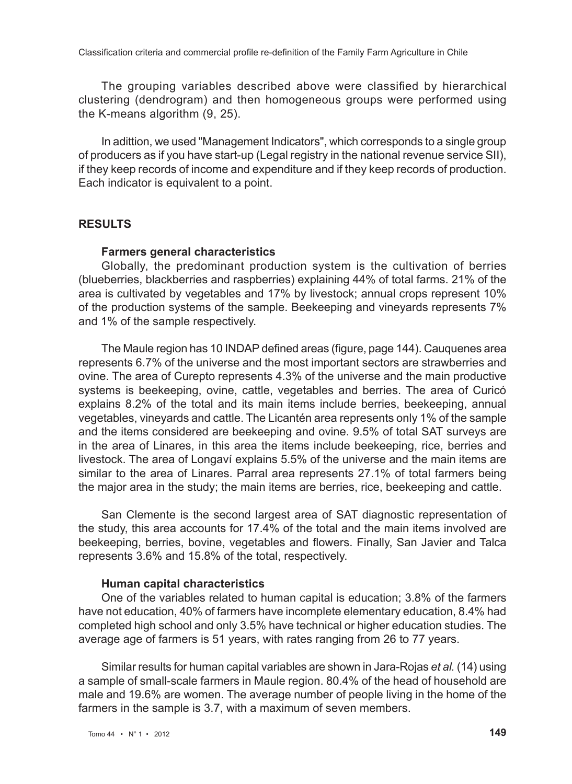The grouping variables described above were classified by hierarchical clustering (dendrogram) and then homogeneous groups were performed using the K-means algorithm (9, 25).

In adittion, we used "Management Indicators", which corresponds to a single group of producers as if you have start-up (Legal registry in the national revenue service SII), if they keep records of income and expenditure and if they keep records of production. Each indicator is equivalent to a point.

#### **RESULTS**

#### **Farmers general characteristics**

Globally, the predominant production system is the cultivation of berries (blueberries, blackberries and raspberries) explaining 44% of total farms. 21% of the area is cultivated by vegetables and 17% by livestock; annual crops represent 10% of the production systems of the sample. Beekeeping and vineyards represents 7% and 1% of the sample respectively.

The Maule region has 10 INDAP defined areas (figure, page 144). Cauquenes area represents 6.7% of the universe and the most important sectors are strawberries and ovine. The area of Curepto represents 4.3% of the universe and the main productive systems is beekeeping, ovine, cattle, vegetables and berries. The area of Curicó explains 8.2% of the total and its main items include berries, beekeeping, annual vegetables, vineyards and cattle. The Licantén area represents only 1% of the sample and the items considered are beekeeping and ovine. 9.5% of total SAT surveys are in the area of Linares, in this area the items include beekeeping, rice, berries and livestock. The area of Longaví explains 5.5% of the universe and the main items are similar to the area of Linares. Parral area represents 27.1% of total farmers being the major area in the study; the main items are berries, rice, beekeeping and cattle.

San Clemente is the second largest area of SAT diagnostic representation of the study, this area accounts for 17.4% of the total and the main items involved are beekeeping, berries, bovine, vegetables and flowers. Finally, San Javier and Talca represents 3.6% and 15.8% of the total, respectively.

#### **Human capital characteristics**

One of the variables related to human capital is education; 3.8% of the farmers have not education, 40% of farmers have incomplete elementary education, 8.4% had completed high school and only 3.5% have technical or higher education studies. The average age of farmers is 51 years, with rates ranging from 26 to 77 years.

Similar results for human capital variables are shown in Jara-Rojas *et al.* (14) using a sample of small-scale farmers in Maule region. 80.4% of the head of household are male and 19.6% are women. The average number of people living in the home of the farmers in the sample is 3.7, with a maximum of seven members.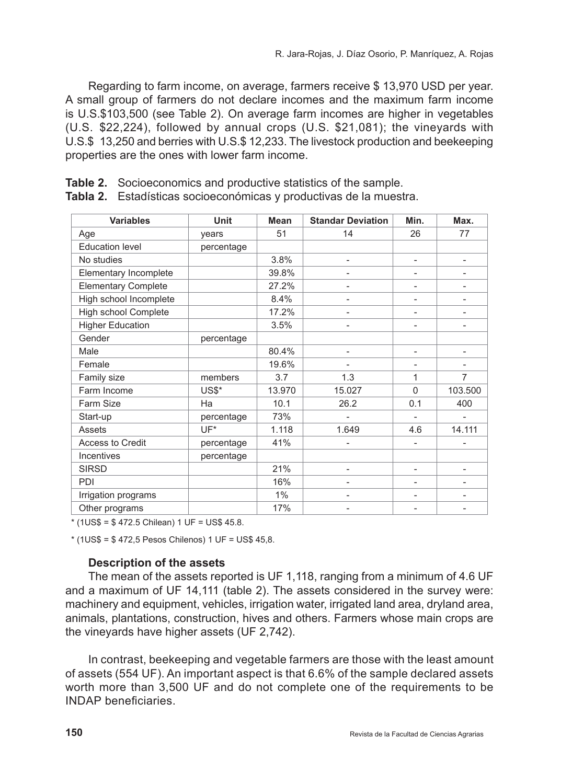Regarding to farm income, on average, farmers receive \$ 13,970 USD per year. A small group of farmers do not declare incomes and the maximum farm income is U.S.\$103,500 (see Table 2). On average farm incomes are higher in vegetables (U.S. \$22,224), followed by annual crops (U.S. \$21,081); the vineyards with U.S.\$ 13,250 and berries with U.S.\$ 12,233. The livestock production and beekeeping properties are the ones with lower farm income.

**Table 2.** Socioeconomics and productive statistics of the sample.

| <b>Variables</b>           | Unit       | <b>Mean</b> | <b>Standar Deviation</b> | Min.                         | Max.                     |
|----------------------------|------------|-------------|--------------------------|------------------------------|--------------------------|
| Age                        | years      | 51          | 14                       | 26                           | 77                       |
| <b>Education level</b>     | percentage |             |                          |                              |                          |
| No studies                 |            | 3.8%        |                          | $\overline{a}$               |                          |
| Elementary Incomplete      |            | 39.8%       |                          |                              |                          |
| <b>Elementary Complete</b> |            | 27.2%       | $\qquad \qquad -$        | -                            | $\overline{\phantom{a}}$ |
| High school Incomplete     |            | 8.4%        | $\overline{\phantom{0}}$ | $\overline{\phantom{0}}$     | $\overline{a}$           |
| High school Complete       |            | 17.2%       |                          | $\overline{\phantom{0}}$     |                          |
| <b>Higher Education</b>    |            | 3.5%        |                          |                              |                          |
| Gender                     | percentage |             |                          |                              |                          |
| Male                       |            | 80.4%       | $\qquad \qquad -$        | $\qquad \qquad \blacksquare$ | $\overline{\phantom{a}}$ |
| Female                     |            | 19.6%       | $\overline{\phantom{0}}$ | $\qquad \qquad -$            | $\overline{\phantom{0}}$ |
| Family size                | members    | 3.7         | 1.3                      | 1                            | 7                        |
| Farm Income                | US\$*      | 13.970      | 15.027                   | $\Omega$                     | 103.500                  |
| Farm Size                  | Ha         | 10.1        | 26.2                     | 0.1                          | 400                      |
| Start-up                   | percentage | 73%         |                          |                              | $\overline{\phantom{a}}$ |
| <b>Assets</b>              | UF*        | 1.118       | 1.649                    | 4.6                          | 14.111                   |
| <b>Access to Credit</b>    | percentage | 41%         |                          |                              |                          |
| Incentives                 | percentage |             |                          |                              |                          |
| <b>SIRSD</b>               |            | 21%         |                          | -                            |                          |
| PDI                        |            | 16%         | $\qquad \qquad -$        | -                            | $\overline{\phantom{a}}$ |
| Irrigation programs        |            | $1\%$       |                          | $\overline{\phantom{0}}$     |                          |
| Other programs             |            | 17%         |                          |                              |                          |

**Tabla 2.** Estadísticas socioeconómicas y productivas de la muestra.

\* (1US\$ = \$ 472.5 Chilean) 1 UF = US\$ 45.8.

\* (1US\$ = \$ 472,5 Pesos Chilenos) 1 UF = US\$ 45,8.

#### **Description of the assets**

The mean of the assets reported is UF 1,118, ranging from a minimum of 4.6 UF and a maximum of UF 14,111 (table 2). The assets considered in the survey were: machinery and equipment, vehicles, irrigation water, irrigated land area, dryland area, animals, plantations, construction, hives and others. Farmers whose main crops are the vineyards have higher assets (UF 2,742).

In contrast, beekeeping and vegetable farmers are those with the least amount of assets (554 UF). An important aspect is that 6.6% of the sample declared assets worth more than 3,500 UF and do not complete one of the requirements to be INDAP beneficiaries.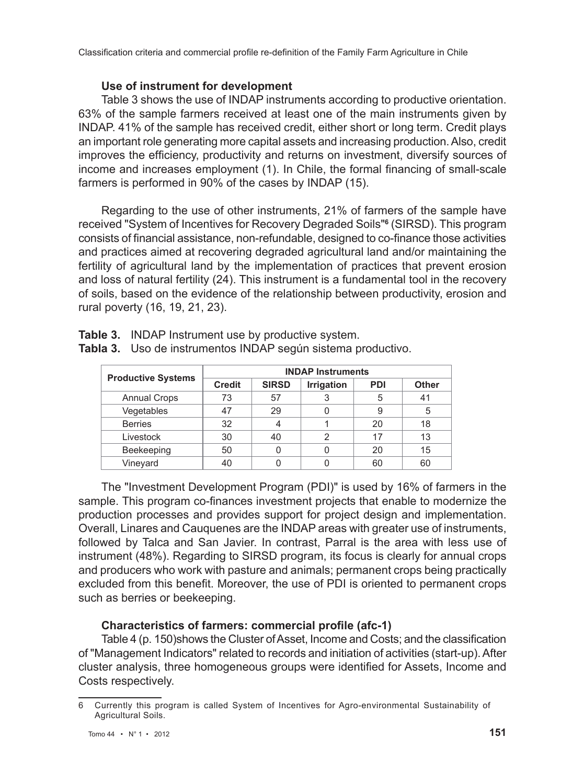## **Use of instrument for development**

Table 3 shows the use of INDAP instruments according to productive orientation. 63% of the sample farmers received at least one of the main instruments given by INDAP. 41% of the sample has received credit, either short or long term. Credit plays an important role generating more capital assets and increasing production. Also, credit improves the efficiency, productivity and returns on investment, diversify sources of income and increases employment (1). In Chile, the formal financing of small-scale farmers is performed in 90% of the cases by INDAP (15).

Regarding to the use of other instruments, 21% of farmers of the sample have received "System of Incentives for Recovery Degraded Soils"**<sup>6</sup>** (SIRSD). This program consists of financial assistance, non-refundable, designed to co-finance those activities and practices aimed at recovering degraded agricultural land and/or maintaining the fertility of agricultural land by the implementation of practices that prevent erosion and loss of natural fertility (24). This instrument is a fundamental tool in the recovery of soils, based on the evidence of the relationship between productivity, erosion and rural poverty (16, 19, 21, 23).

|                           | <b>INDAP Instruments</b> |              |                   |            |              |  |  |
|---------------------------|--------------------------|--------------|-------------------|------------|--------------|--|--|
| <b>Productive Systems</b> | <b>Credit</b>            | <b>SIRSD</b> | <b>Irrigation</b> | <b>PDI</b> | <b>Other</b> |  |  |
| <b>Annual Crops</b>       | 73                       | 57           |                   | 5          | 41           |  |  |
| Vegetables                | 47                       | 29           |                   |            | 5            |  |  |
| <b>Berries</b>            | 32                       |              |                   | 20         | 18           |  |  |
| Livestock                 | 30                       | 40           | 2                 | 17         | 13           |  |  |
| Beekeeping                | 50                       |              |                   | 20         | 15           |  |  |
| Vineyard                  | 40                       |              |                   | 60         | 60           |  |  |

**Table 3.** INDAP Instrument use by productive system.

**Tabla 3.** Uso de instrumentos INDAP según sistema productivo.

The "Investment Development Program (PDI)" is used by 16% of farmers in the sample. This program co-finances investment projects that enable to modernize the production processes and provides support for project design and implementation. Overall, Linares and Cauquenes are the INDAP areas with greater use of instruments, followed by Talca and San Javier. In contrast, Parral is the area with less use of instrument (48%). Regarding to SIRSD program, its focus is clearly for annual crops and producers who work with pasture and animals; permanent crops being practically excluded from this benefit. Moreover, the use of PDI is oriented to permanent crops such as berries or beekeeping.

# **Characteristics of farmers: commercial profile (afc-1)**

Table 4 (p. 150)shows the Cluster of Asset, Income and Costs; and the classification of "Management Indicators" related to records and initiation of activities (start-up). After cluster analysis, three homogeneous groups were identified for Assets, Income and Costs respectively.

<sup>6</sup> Currently this program is called System of Incentives for Agro-environmental Sustainability of Agricultural Soils.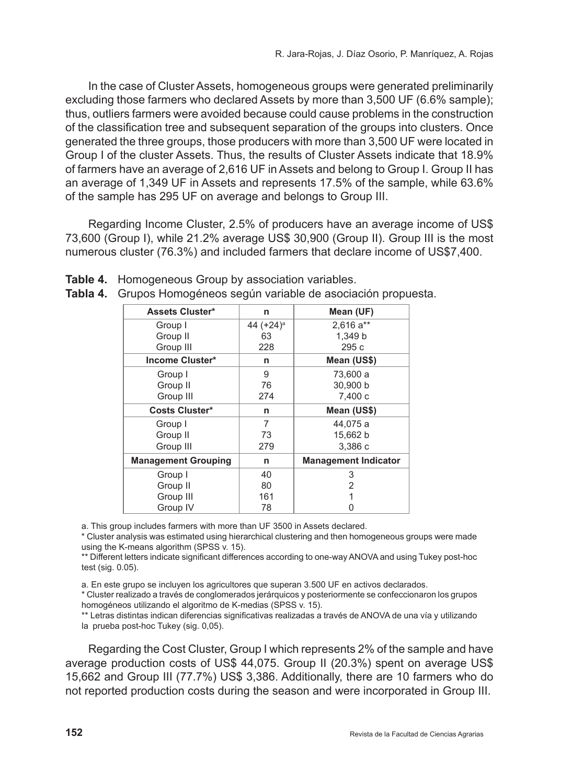In the case of Cluster Assets, homogeneous groups were generated preliminarily excluding those farmers who declared Assets by more than 3,500 UF (6.6% sample); thus, outliers farmers were avoided because could cause problems in the construction of the classification tree and subsequent separation of the groups into clusters. Once generated the three groups, those producers with more than 3,500 UF were located in Group I of the cluster Assets. Thus, the results of Cluster Assets indicate that 18.9% of farmers have an average of 2,616 UF in Assets and belong to Group I. Group II has an average of 1,349 UF in Assets and represents 17.5% of the sample, while 63.6% of the sample has 295 UF on average and belongs to Group III.

Regarding Income Cluster, 2.5% of producers have an average income of US\$ 73,600 (Group I), while 21.2% average US\$ 30,900 (Group II). Group III is the most numerous cluster (76.3%) and included farmers that declare income of US\$7,400.

| <b>Assets Cluster*</b>     | n                     | Mean (UF)                   |
|----------------------------|-----------------------|-----------------------------|
| Group I                    | 44 (+24) <sup>a</sup> | $2.616a**$                  |
| Group II                   | 63                    | 1,349 b                     |
| Group III                  | 228                   | 295c                        |
| Income Cluster*            | n                     | Mean (US\$)                 |
| Group I                    | 9                     | 73,600 a                    |
| Group II                   | 76                    | 30,900 b                    |
| Group III                  | 274                   | 7,400 c                     |
| <b>Costs Cluster*</b>      | n                     | Mean (US\$)                 |
| Group I                    | 7                     | 44.075 a                    |
| Group II                   | 73                    | 15,662 b                    |
| Group III                  | 279                   | 3.386 c                     |
| <b>Management Grouping</b> | n                     | <b>Management Indicator</b> |
| Group I                    | 40                    | 3                           |
| Group II                   | 80                    | 2                           |
| Group III                  | 161                   |                             |
| Group IV                   | 78                    | 0                           |

|  |  | Tabla 4. Grupos Homogéneos según variable de asociación propuesta. |  |
|--|--|--------------------------------------------------------------------|--|

**Table 4.** Homogeneous Group by association variables.

a. This group includes farmers with more than UF 3500 in Assets declared.

\* Cluster analysis was estimated using hierarchical clustering and then homogeneous groups were made using the K-means algorithm (SPSS v. 15).

\*\* Different letters indicate significant differences according to one-way ANOVA and using Tukey post-hoc test (sig. 0.05).

a. En este grupo se incluyen los agricultores que superan 3.500 UF en activos declarados.

\* Cluster realizado a través de conglomerados jerárquicos y posteriormente se confeccionaron los grupos homogéneos utilizando el algoritmo de K-medias (SPSS v. 15).

\*\* Letras distintas indican diferencias significativas realizadas a través de ANOVA de una vía y utilizando la prueba post-hoc Tukey (sig. 0,05).

Regarding the Cost Cluster, Group I which represents 2% of the sample and have average production costs of US\$ 44,075. Group II (20.3%) spent on average US\$ 15,662 and Group III (77.7%) US\$ 3,386. Additionally, there are 10 farmers who do not reported production costs during the season and were incorporated in Group III.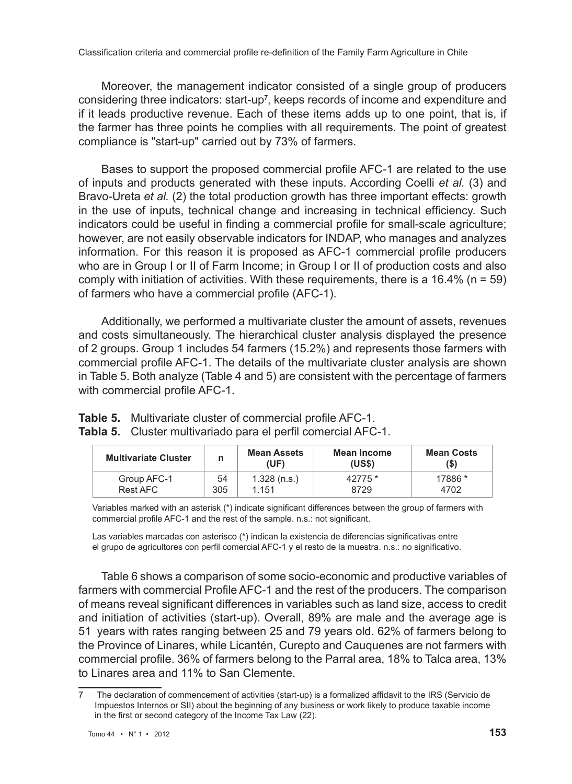Moreover, the management indicator consisted of a single group of producers considering three indicators: start-up**<sup>7</sup>** , keeps records of income and expenditure and if it leads productive revenue. Each of these items adds up to one point, that is, if the farmer has three points he complies with all requirements. The point of greatest compliance is "start-up" carried out by 73% of farmers.

Bases to support the proposed commercial profile AFC-1 are related to the use of inputs and products generated with these inputs. According Coelli *et al.* (3) and Bravo-Ureta *et al.* (2) the total production growth has three important effects: growth in the use of inputs, technical change and increasing in technical efficiency. Such indicators could be useful in finding a commercial profile for small-scale agriculture; however, are not easily observable indicators for INDAP, who manages and analyzes information. For this reason it is proposed as AFC-1 commercial profile producers who are in Group I or II of Farm Income; in Group I or II of production costs and also comply with initiation of activities. With these requirements, there is a  $16.4\%$  (n = 59) of farmers who have a commercial profile (AFC-1).

Additionally, we performed a multivariate cluster the amount of assets, revenues and costs simultaneously. The hierarchical cluster analysis displayed the presence of 2 groups. Group 1 includes 54 farmers (15.2%) and represents those farmers with commercial profile AFC-1. The details of the multivariate cluster analysis are shown in Table 5. Both analyze (Table 4 and 5) are consistent with the percentage of farmers with commercial profile AFC-1.

| <b>Multivariate Cluster</b> | n   | <b>Mean Assets</b><br>(UF) | Mean Income<br>(USS) | <b>Mean Costs</b><br>(\$) |
|-----------------------------|-----|----------------------------|----------------------|---------------------------|
| Group AFC-1                 | 54  | $1.328$ (n.s.)             | 42775 *              | 17886 *                   |
| Rest AFC                    | 305 | 1 1 5 1                    | 8729                 | 4702                      |

| <b>Table 5.</b> Multivariate cluster of commercial profile AFC-1. |
|-------------------------------------------------------------------|
| Tabla 5. Cluster multivariado para el perfil comercial AFC-1.     |

Variables marked with an asterisk (\*) indicate significant differences between the group of farmers with commercial profile AFC-1 and the rest of the sample. n.s.: not significant.

Las variables marcadas con asterisco (\*) indican la existencia de diferencias significativas entre el grupo de agricultores con perfil comercial AFC-1 y el resto de la muestra. n.s.: no significativo.

Table 6 shows a comparison of some socio-economic and productive variables of farmers with commercial Profile AFC-1 and the rest of the producers. The comparison of means reveal significant differences in variables such as land size, access to credit and initiation of activities (start-up). Overall, 89% are male and the average age is 51 years with rates ranging between 25 and 79 years old. 62% of farmers belong to the Province of Linares, while Licantén, Curepto and Cauquenes are not farmers with commercial profile. 36% of farmers belong to the Parral area, 18% to Talca area, 13% to Linares area and 11% to San Clemente.

<sup>7</sup> The declaration of commencement of activities (start-up) is a formalized affidavit to the IRS (Servicio de Impuestos Internos or SII) about the beginning of any business or work likely to produce taxable income in the first or second category of the Income Tax Law (22).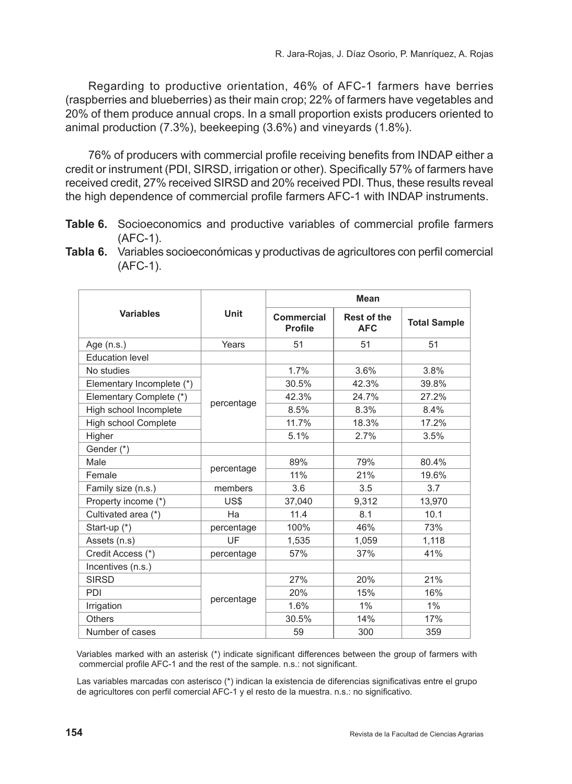Regarding to productive orientation, 46% of AFC-1 farmers have berries (raspberries and blueberries) as their main crop; 22% of farmers have vegetables and 20% of them produce annual crops. In a small proportion exists producers oriented to animal production (7.3%), beekeeping (3.6%) and vineyards (1.8%).

76% of producers with commercial profile receiving benefits from INDAP either a credit or instrument (PDI, SIRSD, irrigation or other). Specifically 57% of farmers have received credit, 27% received SIRSD and 20% received PDI. Thus, these results reveal the high dependence of commercial profile farmers AFC-1 with INDAP instruments.

- **Table 6.** Socioeconomics and productive variables of commercial profile farmers (AFC-1).
- **Tabla 6.** Variables socioeconómicas y productivas de agricultores con perfil comercial (AFC-1).

|                             |             |                              | Mean                             |                     |  |
|-----------------------------|-------------|------------------------------|----------------------------------|---------------------|--|
| <b>Variables</b>            | <b>Unit</b> | Commercial<br><b>Profile</b> | <b>Rest of the</b><br><b>AFC</b> | <b>Total Sample</b> |  |
| Age (n.s.)                  | Years       | 51                           | 51                               | 51                  |  |
| <b>Education level</b>      |             |                              |                                  |                     |  |
| No studies                  |             | 1.7%                         | 3.6%                             | 3.8%                |  |
| Elementary Incomplete (*)   |             | 30.5%                        | 42.3%                            | 39.8%               |  |
| Elementary Complete (*)     |             | 42.3%                        | 24.7%                            | 27.2%               |  |
| High school Incomplete      | percentage  | 8.5%                         | 8.3%                             | $8.4\%$             |  |
| <b>High school Complete</b> |             | 11.7%                        | 18.3%                            | 17.2%               |  |
| Higher                      |             | 5.1%                         | 2.7%                             | 3.5%                |  |
| Gender (*)                  |             |                              |                                  |                     |  |
| <b>Male</b>                 |             | 89%                          | 79%                              | 80.4%               |  |
| Female                      | percentage  | 11%                          | 21%                              | 19.6%               |  |
| Family size (n.s.)          | members     | 3.6                          | 3.5                              | 3.7                 |  |
| Property income (*)         | US\$        | 37,040                       | 9,312                            | 13,970              |  |
| Cultivated area (*)         | Ha          | 11.4                         | 8.1                              | 10.1                |  |
| Start-up (*)                | percentage  | 100%                         | 46%                              | 73%                 |  |
| Assets (n.s)                | UF          | 1,535                        | 1,059                            | 1,118               |  |
| Credit Access (*)           | percentage  | 57%                          | 37%                              | 41%                 |  |
| Incentives (n.s.)           |             |                              |                                  |                     |  |
| <b>SIRSD</b>                |             | 27%                          | 20%                              | 21%                 |  |
| PDI                         |             | 20%                          | 15%                              | 16%                 |  |
| Irrigation                  | percentage  | 1.6%                         | 1%                               | 1%                  |  |
| <b>Others</b>               |             | 30.5%                        | 14%                              | 17%                 |  |
| Number of cases             |             | 59                           | 300                              | 359                 |  |

Variables marked with an asterisk (\*) indicate significant differences between the group of farmers with commercial profile AFC-1 and the rest of the sample. n.s.: not significant.

Las variables marcadas con asterisco (\*) indican la existencia de diferencias significativas entre el grupo de agricultores con perfil comercial AFC-1 y el resto de la muestra. n.s.: no significativo.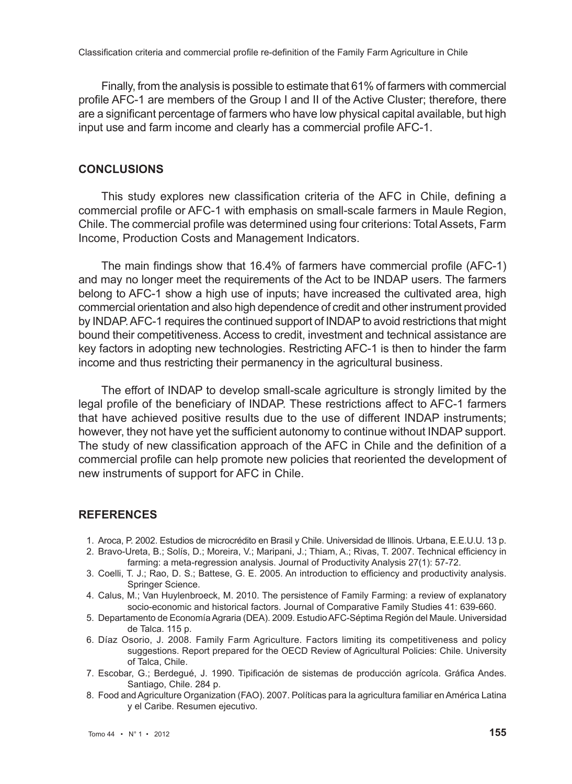Finally, from the analysis is possible to estimate that 61% of farmers with commercial profile AFC-1 are members of the Group I and II of the Active Cluster; therefore, there are a significant percentage of farmers who have low physical capital available, but high input use and farm income and clearly has a commercial profile AFC-1.

#### **CONCLUSIONS**

This study explores new classification criteria of the AFC in Chile, defining a commercial profile or AFC-1 with emphasis on small-scale farmers in Maule Region, Chile. The commercial profile was determined using four criterions: Total Assets, Farm Income, Production Costs and Management Indicators.

The main findings show that 16.4% of farmers have commercial profile (AFC-1) and may no longer meet the requirements of the Act to be INDAP users. The farmers belong to AFC-1 show a high use of inputs; have increased the cultivated area, high commercial orientation and also high dependence of credit and other instrument provided by INDAP. AFC-1 requires the continued support of INDAP to avoid restrictions that might bound their competitiveness. Access to credit, investment and technical assistance are key factors in adopting new technologies. Restricting AFC-1 is then to hinder the farm income and thus restricting their permanency in the agricultural business.

The effort of INDAP to develop small-scale agriculture is strongly limited by the legal profile of the beneficiary of INDAP. These restrictions affect to AFC-1 farmers that have achieved positive results due to the use of different INDAP instruments; however, they not have yet the sufficient autonomy to continue without INDAP support. The study of new classification approach of the AFC in Chile and the definition of a commercial profile can help promote new policies that reoriented the development of new instruments of support for AFC in Chile.

#### **REFERENCES**

- 1. Aroca, P. 2002. Estudios de microcrédito en Brasil y Chile. Universidad de Illinois. Urbana, E.E.U.U. 13 p.
- 2. Bravo-Ureta, B.; Solís, D.; Moreira, V.; Maripani, J.; Thiam, A.; Rivas, T. 2007. Technical efficiency in farming: a meta-regression analysis. Journal of Productivity Analysis 27(1): 57-72.
- 3. Coelli, T. J.; Rao, D. S.; Battese, G. E. 2005. An introduction to efficiency and productivity analysis. Springer Science.
- 4. Calus, M.; Van Huylenbroeck, M. 2010. The persistence of Family Farming: a review of explanatory socio-economic and historical factors. Journal of Comparative Family Studies 41: 639-660.
- 5. Departamento de Economía Agraria (DEA). 2009. Estudio AFC-Séptima Región del Maule. Universidad de Talca. 115 p.
- 6. Díaz Osorio, J. 2008. Family Farm Agriculture. Factors limiting its competitiveness and policy suggestions. Report prepared for the OECD Review of Agricultural Policies: Chile. University of Talca, Chile.
- 7. Escobar, G.; Berdegué, J. 1990. Tipificación de sistemas de producción agrícola. Gráfica Andes. Santiago, Chile. 284 p.
- 8. Food and Agriculture Organization (FAO). 2007. Políticas para la agricultura familiar en América Latina y el Caribe. Resumen ejecutivo.